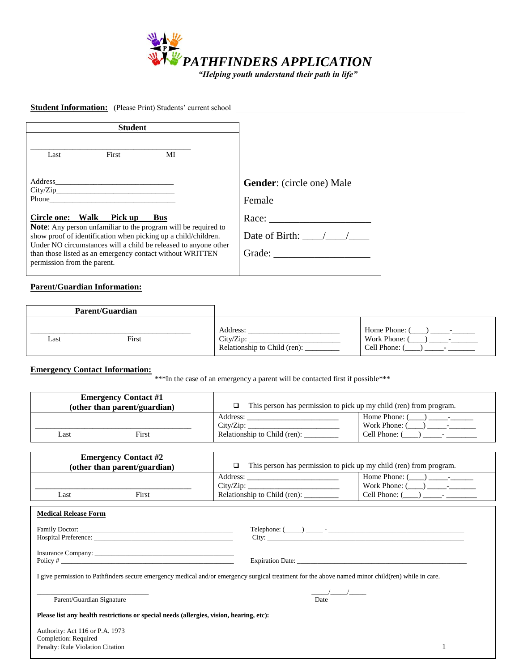

# **Student Information:** (Please Print) Students' current school

| <b>Student</b>              |                                      |                                                                                                                                                                                                                                                                                       |                                                                                                 |
|-----------------------------|--------------------------------------|---------------------------------------------------------------------------------------------------------------------------------------------------------------------------------------------------------------------------------------------------------------------------------------|-------------------------------------------------------------------------------------------------|
| Last                        | First                                | МI                                                                                                                                                                                                                                                                                    |                                                                                                 |
| permission from the parent. | City/Zip<br>Circle one: Walk Pick up | <b>Bus</b><br><b>Note:</b> Any person unfamiliar to the program will be required to<br>show proof of identification when picking up a child/children.<br>Under NO circumstances will a child be released to anyone other<br>than those listed as an emergency contact without WRITTEN | <b>Gender:</b> (circle one) Male<br>Female<br>Race:<br>Date of Birth: $\frac{1}{2}$ /<br>Grade: |

# **Parent/Guardian Information:**

|      | <b>Parent/Guardian</b> |                                                       |                                           |
|------|------------------------|-------------------------------------------------------|-------------------------------------------|
| Last | First                  | Address:<br>City/Zip:<br>Relationship to Child (ren): | Home Phone:<br>Work Phone:<br>Cell Phone: |

## **Emergency Contact Information:**

\*\*\*In the case of an emergency a parent will be contacted first if possible \*\*\*

|      | <b>Emergency Contact #1</b><br>(other than parent/guardian) |                              | This person has permission to pick up my child (ren) from program. |
|------|-------------------------------------------------------------|------------------------------|--------------------------------------------------------------------|
|      |                                                             | Address:<br>$City/Z$ ip:     | Home Phone: 0<br>Work Phone: 0                                     |
| ∟ast | First                                                       | Relationship to Child (ren): | Cell Phone:                                                        |

|      | <b>Emergency Contact #2</b><br>(other than parent/guardian) | This person has permission to pick up my child (ren) from program. |                                               |
|------|-------------------------------------------------------------|--------------------------------------------------------------------|-----------------------------------------------|
| Last | First                                                       | Address:<br>City/Zip:<br>Relationship to Child (ren):              | Home Phone:<br>Work Phone: 0<br>Cell Phone: 0 |

| <b>Medical Release Form</b>                                                                                                                       |                                                                                                                         |
|---------------------------------------------------------------------------------------------------------------------------------------------------|-------------------------------------------------------------------------------------------------------------------------|
|                                                                                                                                                   |                                                                                                                         |
|                                                                                                                                                   |                                                                                                                         |
| I give permission to Pathfinders secure emergency medical and/or emergency surgical treatment for the above named minor child(ren) while in care. |                                                                                                                         |
| Parent/Guardian Signature                                                                                                                         | $\sqrt{1}$<br>Date                                                                                                      |
| Please list any health restrictions or special needs (allergies, vision, hearing, etc):                                                           | <u> 1990 - Jan Alexandro Alexandro Alexandro Alexandro Alexandro Alexandro Alexandro Alexandro Alexandro Alexandro </u> |
| Authority: Act 116 or P.A. 1973<br>Completion: Required<br>Penalty: Rule Violation Citation                                                       |                                                                                                                         |